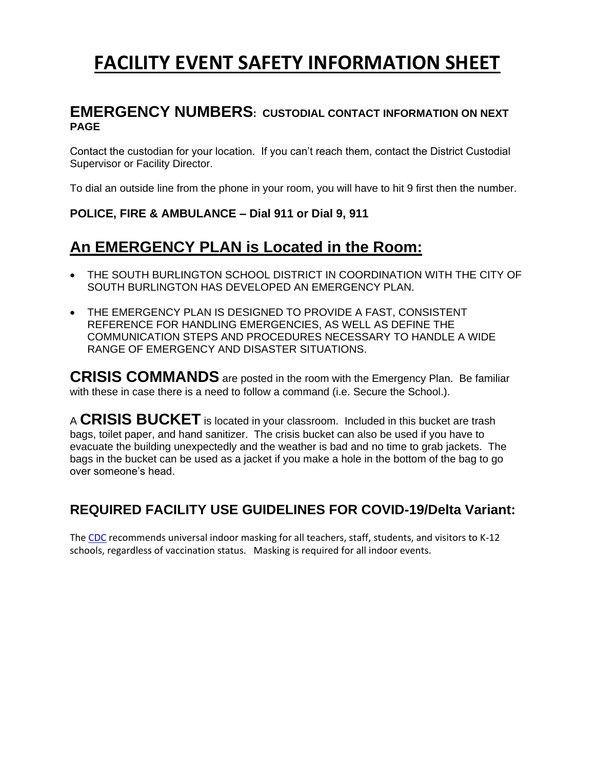# **FACILITY EVENT SAFETY INFORMATION SHEET**

## **EMERGENCY NUMBERS: CUSTODIAL CONTACT INFORMATION ON NEXT PAGE**

Contact the custodian for your location. If you can't reach them, contact the District Custodial Supervisor or Facility Director.

To dial an outside line from the phone in your room, you will have to hit 9 first then the number.

### **POLICE, FIRE & AMBULANCE – Dial 911 or Dial 9, 911**

# **An EMERGENCY PLAN is Located in the Room:**

- THE SOUTH BURLINGTON SCHOOL DISTRICT IN COORDINATION WITH THE CITY OF SOUTH BURLINGTON HAS DEVELOPED AN EMERGENCY PLAN.
- THE EMERGENCY PLAN IS DESIGNED TO PROVIDE A FAST, CONSISTENT REFERENCE FOR HANDLING EMERGENCIES, AS WELL AS DEFINE THE COMMUNICATION STEPS AND PROCEDURES NECESSARY TO HANDLE A WIDE RANGE OF EMERGENCY AND DISASTER SITUATIONS.

**CRISIS COMMANDS** are posted in the room with the Emergency Plan. Be familiar with these in case there is a need to follow a command (i.e. Secure the School.).

<sup>A</sup>**CRISIS BUCKET** is located in your classroom. Included in this bucket are trash bags, toilet paper, and hand sanitizer. The crisis bucket can also be used if you have to evacuate the building unexpectedly and the weather is bad and no time to grab jackets. The bags in the bucket can be used as a jacket if you make a hole in the bottom of the bag to go over someone's head.

# **REQUIRED FACILITY USE GUIDELINES FOR COVID-19/Delta Variant:**

The [CDC](https://nam02.safelinks.protection.outlook.com/?url=http%3A%2F%2Ftrack.spe.schoolmessenger.com%2Ff%2Fa%2FUZ3crtIUnf8A9ZLA_QXgfQ~~%2FAAAAAQA~%2FRgRi9W11P0RQaHR0cHM6Ly93d3cuY2RjLmdvdi9jb3JvbmF2aXJ1cy8yMDE5LW5jb3YvY29tbXVuaXR5L3NjaG9vbHMtY2hpbGRjYXJlL2luZGV4Lmh0bWxXB3NjaG9vbG1CCmER9TkUYVNRU3NSF2NjaGFtYmVyc0BzYnNjaG9vbHMubmV0WAQAAAAB&data=04%7C01%7C%7Cfee67b26c6d2461a261008d95d0ac798%7Ce5710044a1294a02adf50e7f81cf1830%7C1%7C0%7C637643123159482391%7CUnknown%7CTWFpbGZsb3d8eyJWIjoiMC4wLjAwMDAiLCJQIjoiV2luMzIiLCJBTiI6Ik1haWwiLCJXVCI6Mn0%3D%7C1000&sdata=1ewbf0D8ieESLDEgcWQDV2W7E5e6LaoRrrI%2F0mltNzo%3D&reserved=0) recommends universal indoor masking for all teachers, staff, students, and visitors to K-12 schools, regardless of vaccination status. Masking is required for all indoor events.